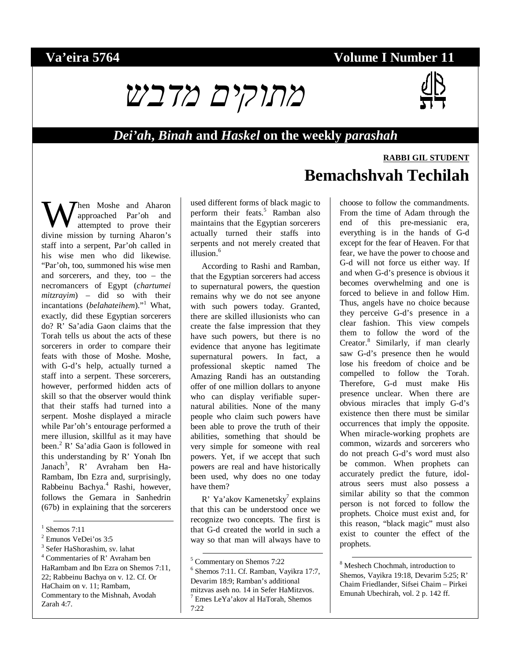### **Va'eira 5764 Volume I Number 11**



### *Dei'ah***,** *Binah* **and** *Haskel* **on the weekly** *parashah*

hen Moshe and Aharon approached Par'oh and attempted to prove their **W** approached Par'oh and Aharon attempted to prove their divine mission by turning Aharon's staff into a serpent, Par'oh called in his wise men who did likewise. "Par'oh, too, summoned his wise men and sorcerers, and they, too – the necromancers of Egypt (*chartumei mitzrayim*) – did so with their incantations (*belahateihem*)."<sup>1</sup> What, exactly, did these Egyptian sorcerers do? R' Sa'adia Gaon claims that the Torah tells us about the acts of these sorcerers in order to compare their feats with those of Moshe. Moshe, with G-d's help, actually turned a staff into a serpent. These sorcerers, however, performed hidden acts of skill so that the observer would think that their staffs had turned into a serpent. Moshe displayed a miracle while Par'oh's entourage performed a mere illusion, skillful as it may have been.<sup>2</sup> R' Sa'adia Gaon is followed in this understanding by R' Yonah Ibn Janach<sup>3</sup>, R' Avraham ben Ha-Rambam, Ibn Ezra and, surprisingly, Rabbeinu Bachya.<sup>4</sup> Rashi, however, follows the Gemara in Sanhedrin (67b) in explaining that the sorcerers

 $\frac{1}{\text{Shemos } 7:11}$ 

4 Commentaries of R' Avraham ben HaRambam and Ibn Ezra on Shemos 7:11, 22; Rabbeinu Bachya on v. 12. Cf. Or HaChaim on v. 11; Rambam, Commentary to the Mishnah, Avodah Zarah 4:7.

used different forms of black magic to perform their feats.<sup>5</sup> Ramban also maintains that the Egyptian sorcerers actually turned their staffs into serpents and not merely created that illusion.<sup>6</sup>

According to Rashi and Ramban, that the Egyptian sorcerers had access to supernatural powers, the question remains why we do not see anyone with such powers today. Granted, there are skilled illusionists who can create the false impression that they have such powers, but there is no evidence that anyone has legitimate supernatural powers. In fact, a professional skeptic named The Amazing Randi has an outstanding offer of one million dollars to anyone who can display verifiable supernatural abilities. None of the many people who claim such powers have been able to prove the truth of their abilities, something that should be very simple for someone with real powers. Yet, if we accept that such powers are real and have historically been used, why does no one today have them?

R' Ya'akov Kamenetsky<sup>7</sup> explains that this can be understood once we recognize two concepts. The first is that G-d created the world in such a way so that man will always have to

# **RABBI GIL STUDENT Bemachshvah Techilah**

choose to follow the commandments. From the time of Adam through the end of this pre-messianic era, everything is in the hands of G-d except for the fear of Heaven. For that fear, we have the power to choose and G-d will not force us either way. If and when G-d's presence is obvious it becomes overwhelming and one is forced to believe in and follow Him. Thus, angels have no choice because they perceive G-d's presence in a clear fashion. This view compels them to follow the word of the Creator.<sup>8</sup> Similarly, if man clearly saw G-d's presence then he would lose his freedom of choice and be compelled to follow the Torah. Therefore, G-d must make His presence unclear. When there are obvious miracles that imply G-d's existence then there must be similar occurrences that imply the opposite. When miracle-working prophets are common, wizards and sorcerers who do not preach G-d's word must also be common. When prophets can accurately predict the future, idolatrous seers must also possess a similar ability so that the common person is not forced to follow the prophets. Choice must exist and, for this reason, "black magic" must also exist to counter the effect of the prophets.

<sup>8</sup> Meshech Chochmah, introduction to Shemos, Vayikra 19:18, Devarim 5:25; R' Chaim Friedlander, Sifsei Chaim – Pirkei Emunah Ubechirah, vol. 2 p. 142 ff.

<sup>2</sup> Emunos VeDei'os 3:5

<sup>3</sup> Sefer HaShorashim, sv. lahat

 <sup>5</sup> Commentary on Shemos 7:22

<sup>6</sup> Shemos 7:11. Cf. Ramban, Vayikra 17:7, Devarim 18:9; Ramban's additional mitzvas aseh no. 14 in Sefer HaMitzvos. 7 Emes LeYa'akov al HaTorah, Shemos  $7.22$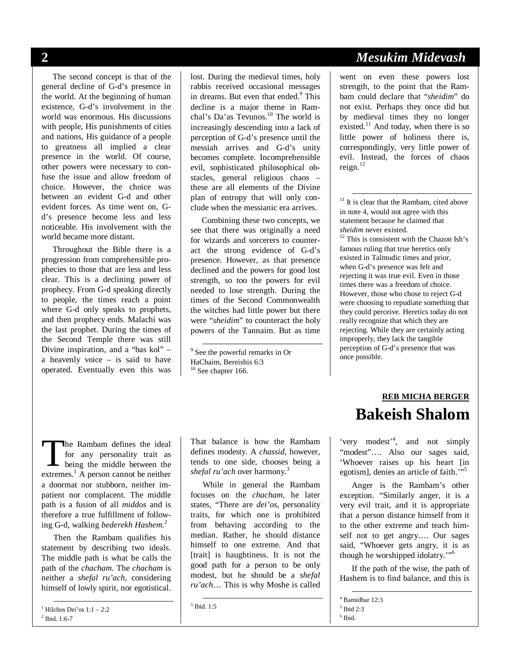The second concept is that of the general decline of G-d's presence in the world. At the beginning of human existence, G-d's involvement in the world was enormous. His discussions with people, His punishments of cities and nations, His guidance of a people to greatness all implied a clear presence in the world. Of course, other powers were necessary to confuse the issue and allow freedom of choice. However, the choice was between an evident G-d and other evident forces. As time went on, Gd's presence become less and less noticeable. His involvement with the world became more distant.

Throughout the Bible there is a progression from comprehensible prophecies to those that are less and less clear. This is a declining power of prophecy. From G-d speaking directly to people, the times reach a point where G-d only speaks to prophets, and then prophecy ends. Malachi was the last prophet. During the times of the Second Temple there was still Divine inspiration, and a "bas kol" – a heavenly voice – is said to have operated. Eventually even this was lost. During the medieval times, holy rabbis received occasional messages in dreams. But even that ended.<sup>9</sup> This decline is a major theme in Ramchal's Da'as Tevunos. $10$  The world is increasingly descending into a lack of perception of G-d's presence until the messiah arrives and G-d's unity becomes complete. Incomprehensible evil, sophisticated philosophical obstacles, general religious chaos – these are all elements of the Divine plan of entropy that will only conclude when the messianic era arrives.

Combining these two concepts, we see that there was originally a need for wizards and sorcerers to counteract the strong evidence of G-d's presence. However, as that presence declined and the powers for good lost strength, so too the powers for evil needed to lose strength. During the times of the Second Commonwealth the witches had little power but there were "*sheidim*" to counteract the holy powers of the Tannaim. But as time

## **2** *Mesukim Midevash*

went on even these powers lost strength, to the point that the Rambam could declare that "*sheidim*" do not exist. Perhaps they once did but by medieval times they no longer existed. $^{11}$  And today, when there is so little power of holiness there is, correspondingly, very little power of evil. Instead, the forces of chaos reign.<sup>12</sup>

 $11$  It is clear that the Rambam, cited above in note 4, would not agree with this statement because he claimed that *sheidim* never existed.<br><sup>12</sup> This is consistent with the Chazon Ish's

famous ruling that true heretics only existed in Talmudic times and prior, when G-d's presence was felt and rejecting it was true evil. Even in those times there was a freedom of choice. However, those who chose to reject G-d were choosing to repudiate something that they could perceive. Heretics today do not really recognize that which they are rejecting. While they are certainly acting improperly, they lack the tangible perception of G-d's presence that was once possible.

he Rambam defines the ideal for any personality trait as being the middle between the The Rambam defines the ideal<br>for any personality trait as<br>being the middle between the<br>extremes.<sup>1</sup> A person cannot be neither a doormat nor stubborn, neither impatient nor complacent. The middle path is a fusion of all *middos* and is therefore a true fulfillment of following G-d, walking *bederekh Hashem.*<sup>2</sup>

Then the Rambam qualifies his statement by describing two ideals. The middle path is what he calls the path of the *chacham*. The *chacham* is neither a *shefal ru'ach*, considering himself of lowly spirit, nor egotistical.

 1 Hilchos Dei'os 1:1 – 2:2 <sup>2</sup> Ibid. 1:6-7

That balance is how the Rambam defines modesty. A *chassid*, however, tends to one side, chooses being a *shefal ru'ach* over harmony.<sup>3</sup>

While in general the Rambam focuses on the *chacham*, he later states, "There are *dei'os*, personality traits, for which one is prohibited from behaving according to the median. Rather, he should distance himself to one extreme. And that [trait] is haughtiness. It is not the good path for a person to be only modest, but he should be a *shefal ru'ach*… This is why Moshe is called

<sup>3</sup> Ibid. 1:5

## **REB MICHA BERGER Bakeish Shalom**

'very modest'<sup>4</sup> , and not simply "modest"…. Also our sages said, 'Whoever raises up his heart [in egotism], denies an article of faith."<sup>5</sup>

Anger is the Rambam's other exception. "Similarly anger, it is a very evil trait, and it is appropriate that a person distance himself from it to the other extreme and teach himself not to get angry…. Our sages said, "Whoever gets angry, it is as though he worshipped idolatry.'"<sup>6</sup>

If the path of the wise, the path of Hashem is to find balance, and this is

4 Bamidbar 12:3

 <sup>9</sup> See the powerful remarks in Or HaChaim, Bereishis 6:3  $10$  See chapter 166.

<sup>5</sup> Ibid 2:3 6 Ibid.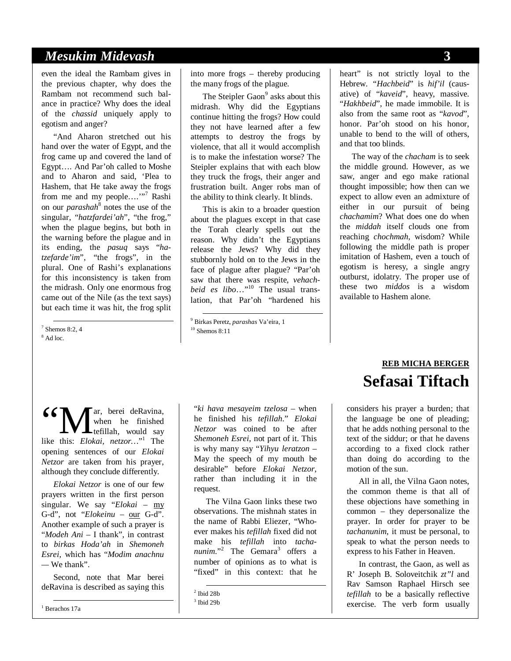### *Mesukim Midevash* **3**

even the ideal the Rambam gives in the previous chapter, why does the Rambam not recommend such balance in practice? Why does the ideal of the *chassid* uniquely apply to egotism and anger?

"And Aharon stretched out his hand over the water of Egypt, and the frog came up and covered the land of Egypt…. And Par'oh called to Moshe and to Aharon and said, 'Plea to Hashem, that He take away the frogs from me and my people...."<sup>7</sup> Rashi on our *parashah*<sup>8</sup> notes the use of the singular, "*hatzfardei'ah*", "the frog," when the plague begins, but both in the warning before the plague and in its ending, the *pasuq* says "*hatzefarde'im*", "the frogs", in the plural. One of Rashi's explanations for this inconsistency is taken from the midrash. Only one enormous frog came out of the Nile (as the text says) but each time it was hit, the frog split

 $\frac{1}{\sqrt{7}}$  Shemos 8:2, 4 <sup>8</sup> Ad loc.

into more frogs – thereby producing the many frogs of the plague.

The Steipler Gaon<sup>9</sup> asks about this midrash. Why did the Egyptians continue hitting the frogs? How could they not have learned after a few attempts to destroy the frogs by violence, that all it would accomplish is to make the infestation worse? The Steipler explains that with each blow they truck the frogs, their anger and frustration built. Anger robs man of the ability to think clearly. It blinds.

This is akin to a broader question about the plagues except in that case the Torah clearly spells out the reason. Why didn't the Egyptians release the Jews? Why did they stubbornly hold on to the Jews in the face of plague after plague? "Par'oh saw that there was respite, *vehachbeid es libo*…"10 The usual translation, that Par'oh "hardened his heart" is not strictly loyal to the Hebrew. *"Hachbeid*" is *hif'il* (causative) of "*kaveid*", heavy, massive. "*Hakhbeid*", he made immobile. It is also from the same root as "*kavod*", honor. Par'oh stood on his honor, unable to bend to the will of others, and that too blinds.

The way of the *chacham* is to seek the middle ground. However, as we saw, anger and ego make rational thought impossible; how then can we expect to allow even an admixture of either in our pursuit of being *chachamim*? What does one do when the *middah* itself clouds one from reaching *chochmah*, wisdom? While following the middle path is proper imitation of Hashem, even a touch of egotism is heresy, a single angry outburst, idolatry. The proper use of these two *middos* is a wisdom available to Hashem alone.

ar, berei deRavina, when he finished tefillah, would say **6 C** Wen he finished<br>like this: *Elokai, netzor*...<sup>"1</sup> The opening sentences of our *Elokai Netzor* are taken from his prayer, although they conclude differently.

*Elokai Netzor* is one of our few prayers written in the first person singular. We say "*Elokai* – my G-d", not "*Elokeinu* – our G-d". Another example of such a prayer is "*Modeh Ani* – I thank", in contrast to *birkas Hoda'ah* in *Shemoneh Esrei*, which has "*Modim anachnu —* We thank".

Second, note that Mar berei deRavina is described as saying this

"*ki hava mesayeim tzelosa* – when he finished his *tefillah*." *Elokai Netzor* was coined to be after *Shemoneh Esrei*, not part of it. This is why many say "*Yihyu leratzon* – May the speech of my mouth be desirable" before *Elokai Netzor*, rather than including it in the request.

The Vilna Gaon links these two observations. The mishnah states in the name of Rabbi Eliezer, "Whoever makes his *tefillah* fixed did not make his *tefillah* into *tacha*nunim."<sup>2</sup> The Gemara<sup>3</sup> offers a number of opinions as to what is "fixed" in this context: that he

# **REB MICHA BERGER Sefasai Tiftach**

considers his prayer a burden; that the language be one of pleading; that he adds nothing personal to the text of the siddur; or that he davens according to a fixed clock rather than doing do according to the motion of the sun.

All in all, the Vilna Gaon notes, the common theme is that all of these objections have something in common – they depersonalize the prayer. In order for prayer to be *tachanunim*, it must be personal, to speak to what the person needs to express to his Father in Heaven.

In contrast, the Gaon, as well as R' Joseph B. Soloveitchik *zt"l* and Rav Samson Raphael Hirsch see *tefillah* to be a basically reflective exercise. The verb form usually

1 Berachos 17a

 $\frac{1}{9}$  p.i.l. <sup>9</sup> Birkas Peretz, *parashas* Va'eira, 1<br><sup>10</sup> Shemos 8:11

 $\frac{1}{2}$  Ibid 28b

 $3$  Ibid 29b